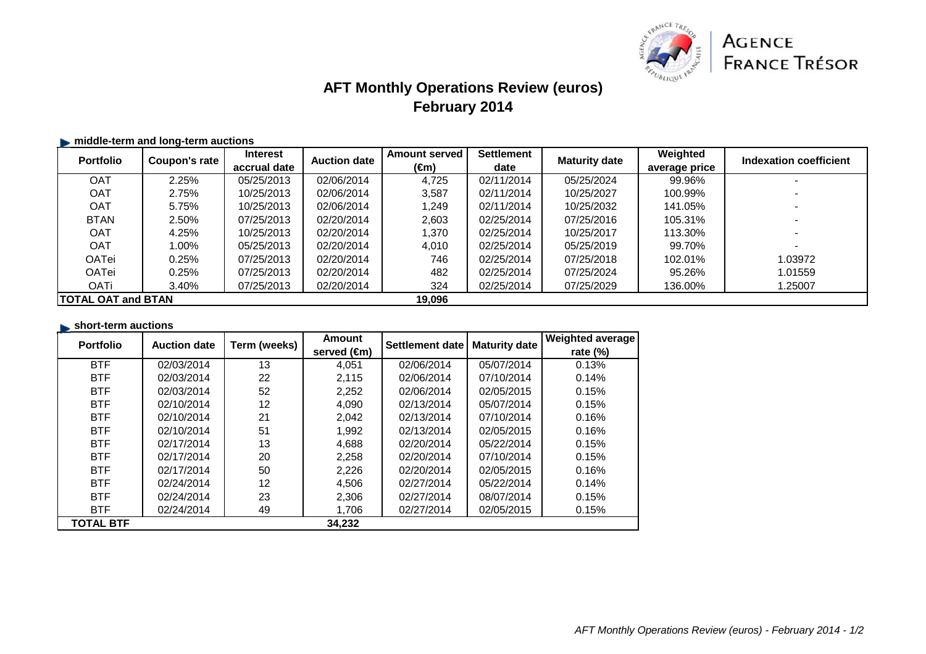

## **AFT Monthly Operations Review (euros)February 2014**

#### **middle-term and long-term auctions**

| <b>Portfolio</b>          | Coupon's rate | <b>Interest</b> | <b>Auction date</b> | <b>Amount served</b> | <b>Settlement</b> | <b>Maturity date</b> | Weighted      | Indexation coefficient |
|---------------------------|---------------|-----------------|---------------------|----------------------|-------------------|----------------------|---------------|------------------------|
|                           |               | accrual date    |                     | (€m)                 | date              |                      | average price |                        |
| <b>OAT</b>                | 2.25%         | 05/25/2013      | 02/06/2014          | 4.725                | 02/11/2014        | 05/25/2024           | 99.96%        |                        |
| <b>OAT</b>                | 2.75%         | 10/25/2013      | 02/06/2014          | 3,587                | 02/11/2014        | 10/25/2027           | 100.99%       |                        |
| <b>OAT</b>                | 5.75%         | 10/25/2013      | 02/06/2014          | 1.249                | 02/11/2014        | 10/25/2032           | 141.05%       |                        |
| <b>BTAN</b>               | 2.50%         | 07/25/2013      | 02/20/2014          | 2,603                | 02/25/2014        | 07/25/2016           | 105.31%       |                        |
| <b>OAT</b>                | 4.25%         | 10/25/2013      | 02/20/2014          | 1.370                | 02/25/2014        | 10/25/2017           | 113.30%       |                        |
| <b>OAT</b>                | 1.00%         | 05/25/2013      | 02/20/2014          | 4.010                | 02/25/2014        | 05/25/2019           | 99.70%        |                        |
| OATei                     | 0.25%         | 07/25/2013      | 02/20/2014          | 746                  | 02/25/2014        | 07/25/2018           | 102.01%       | 1.03972                |
| OATei                     | 0.25%         | 07/25/2013      | 02/20/2014          | 482                  | 02/25/2014        | 07/25/2024           | 95.26%        | 1.01559                |
| <b>OATi</b>               | 3.40%         | 07/25/2013      | 02/20/2014          | 324                  | 02/25/2014        | 07/25/2029           | 136.00%       | 1.25007                |
| <b>TOTAL OAT and BTAN</b> |               |                 |                     | 19,096               |                   |                      |               |                        |

#### **short-term auctions**

| <b>Portfolio</b> | <b>Auction date</b> | Term (weeks) | Amount                | Settlement date | <b>Maturity date</b> | <b>Weighted average</b> |
|------------------|---------------------|--------------|-----------------------|-----------------|----------------------|-------------------------|
|                  |                     |              | served $(\epsilon m)$ |                 |                      | rate $(\%)$             |
| <b>BTF</b>       | 02/03/2014          | 13           | 4,051                 | 02/06/2014      | 05/07/2014           | 0.13%                   |
| <b>BTF</b>       | 02/03/2014          | 22           | 2,115                 | 02/06/2014      | 07/10/2014           | 0.14%                   |
| <b>BTF</b>       | 02/03/2014          | 52           | 2,252                 | 02/06/2014      | 02/05/2015           | 0.15%                   |
| <b>BTF</b>       | 02/10/2014          | 12           | 4,090                 | 02/13/2014      | 05/07/2014           | 0.15%                   |
| <b>BTF</b>       | 02/10/2014          | 21           | 2,042                 | 02/13/2014      | 07/10/2014           | 0.16%                   |
| <b>BTF</b>       | 02/10/2014          | 51           | 1,992                 | 02/13/2014      | 02/05/2015           | 0.16%                   |
| <b>BTF</b>       | 02/17/2014          | 13           | 4,688                 | 02/20/2014      | 05/22/2014           | 0.15%                   |
| <b>BTF</b>       | 02/17/2014          | 20           | 2,258                 | 02/20/2014      | 07/10/2014           | 0.15%                   |
| <b>BTF</b>       | 02/17/2014          | 50           | 2,226                 | 02/20/2014      | 02/05/2015           | 0.16%                   |
| <b>BTF</b>       | 02/24/2014          | 12           | 4,506                 | 02/27/2014      | 05/22/2014           | 0.14%                   |
| <b>BTF</b>       | 02/24/2014          | 23           | 2,306                 | 02/27/2014      | 08/07/2014           | 0.15%                   |
| <b>BTF</b>       | 02/24/2014          | 49           | 1,706                 | 02/27/2014      | 02/05/2015           | 0.15%                   |
| <b>TOTAL BTF</b> |                     |              | 34.232                |                 |                      |                         |